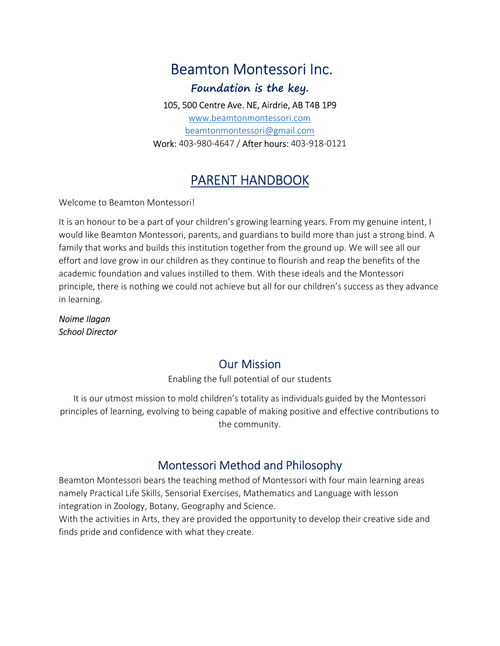# Beamton Montessori Inc.

Foundation is the key.

105, 500 Centre Ave. NE, Airdrie, AB T4B 1P9

www.beamtonmontessori.com beamtonmontessori@gmail.com Work: 403-980-4647 / After hours: 403-918-0121

# PARENT HANDBOOK

Welcome to Beamton Montessori!

It is an honour to be a part of your children's growing learning years. From my genuine intent, I would like Beamton Montessori, parents, and guardians to build more than just a strong bind. A family that works and builds this institution together from the ground up. We will see all our effort and love grow in our children as they continue to flourish and reap the benefits of the academic foundation and values instilled to them. With these ideals and the Montessori principle, there is nothing we could not achieve but all for our children's success as they advance in learning.

Noime Ilagan School Director

### Our Mission

Enabling the full potential of our students

It is our utmost mission to mold children's totality as individuals guided by the Montessori principles of learning, evolving to being capable of making positive and effective contributions to the community.

# Montessori Method and Philosophy

Beamton Montessori bears the teaching method of Montessori with four main learning areas namely Practical Life Skills, Sensorial Exercises, Mathematics and Language with lesson integration in Zoology, Botany, Geography and Science.

With the activities in Arts, they are provided the opportunity to develop their creative side and finds pride and confidence with what they create.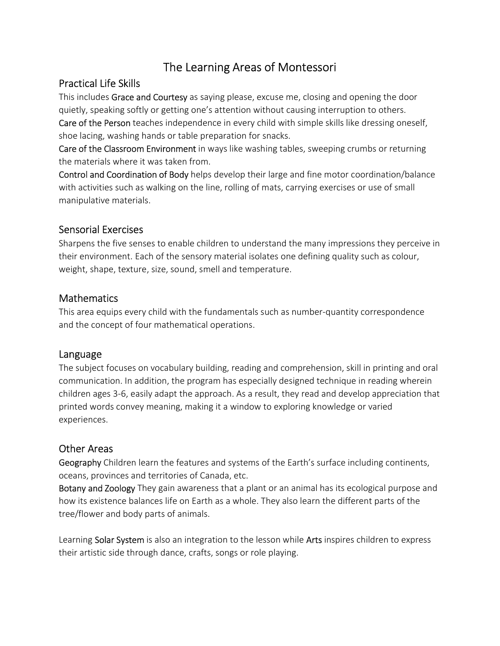## The Learning Areas of Montessori

#### Practical Life Skills

This includes Grace and Courtesy as saying please, excuse me, closing and opening the door quietly, speaking softly or getting one's attention without causing interruption to others. Care of the Person teaches independence in every child with simple skills like dressing oneself, shoe lacing, washing hands or table preparation for snacks.

Care of the Classroom Environment in ways like washing tables, sweeping crumbs or returning the materials where it was taken from.

Control and Coordination of Body helps develop their large and fine motor coordination/balance with activities such as walking on the line, rolling of mats, carrying exercises or use of small manipulative materials.

#### Sensorial Exercises

Sharpens the five senses to enable children to understand the many impressions they perceive in their environment. Each of the sensory material isolates one defining quality such as colour, weight, shape, texture, size, sound, smell and temperature.

#### Mathematics

This area equips every child with the fundamentals such as number-quantity correspondence and the concept of four mathematical operations.

#### Language

The subject focuses on vocabulary building, reading and comprehension, skill in printing and oral communication. In addition, the program has especially designed technique in reading wherein children ages 3-6, easily adapt the approach. As a result, they read and develop appreciation that printed words convey meaning, making it a window to exploring knowledge or varied experiences.

#### Other Areas

Geography Children learn the features and systems of the Earth's surface including continents, oceans, provinces and territories of Canada, etc.

Botany and Zoology They gain awareness that a plant or an animal has its ecological purpose and how its existence balances life on Earth as a whole. They also learn the different parts of the tree/flower and body parts of animals.

Learning Solar System is also an integration to the lesson while Arts inspires children to express their artistic side through dance, crafts, songs or role playing.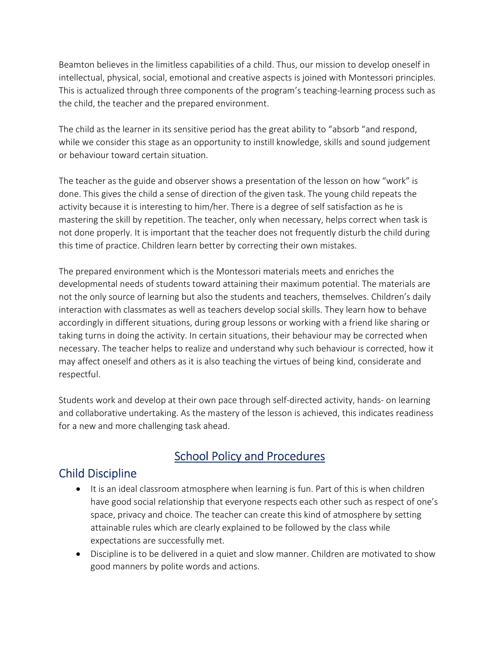Beamton believes in the limitless capabilities of a child. Thus, our mission to develop oneself in intellectual, physical, social, emotional and creative aspects is joined with Montessori principles. This is actualized through three components of the program's teaching-learning process such as the child, the teacher and the prepared environment.

The child as the learner in its sensitive period has the great ability to "absorb "and respond, while we consider this stage as an opportunity to instill knowledge, skills and sound judgement or behaviour toward certain situation.

The teacher as the guide and observer shows a presentation of the lesson on how "work" is done. This gives the child a sense of direction of the given task. The young child repeats the activity because it is interesting to him/her. There is a degree of self satisfaction as he is mastering the skill by repetition. The teacher, only when necessary, helps correct when task is not done properly. It is important that the teacher does not frequently disturb the child during this time of practice. Children learn better by correcting their own mistakes.

The prepared environment which is the Montessori materials meets and enriches the developmental needs of students toward attaining their maximum potential. The materials are not the only source of learning but also the students and teachers, themselves. Children's daily interaction with classmates as well as teachers develop social skills. They learn how to behave accordingly in different situations, during group lessons or working with a friend like sharing or taking turns in doing the activity. In certain situations, their behaviour may be corrected when necessary. The teacher helps to realize and understand why such behaviour is corrected, how it may affect oneself and others as it is also teaching the virtues of being kind, considerate and respectful.

Students work and develop at their own pace through self-directed activity, hands- on learning and collaborative undertaking. As the mastery of the lesson is achieved, this indicates readiness for a new and more challenging task ahead.

# School Policy and Procedures

# Child Discipline

- It is an ideal classroom atmosphere when learning is fun. Part of this is when children have good social relationship that everyone respects each other such as respect of one's space, privacy and choice. The teacher can create this kind of atmosphere by setting attainable rules which are clearly explained to be followed by the class while expectations are successfully met.
- Discipline is to be delivered in a quiet and slow manner. Children are motivated to show good manners by polite words and actions.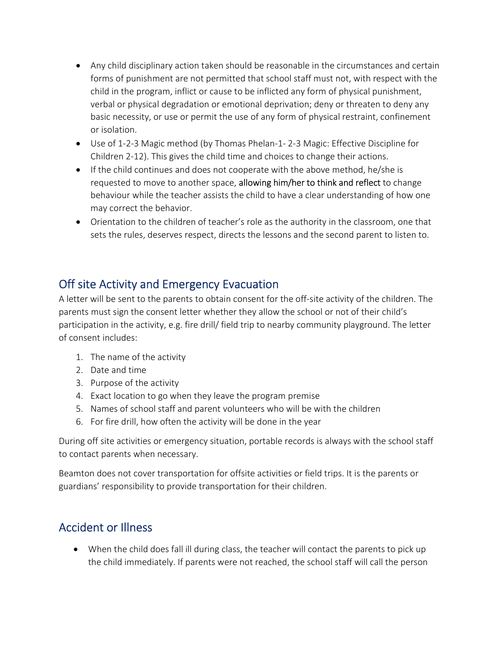- Any child disciplinary action taken should be reasonable in the circumstances and certain forms of punishment are not permitted that school staff must not, with respect with the child in the program, inflict or cause to be inflicted any form of physical punishment, verbal or physical degradation or emotional deprivation; deny or threaten to deny any basic necessity, or use or permit the use of any form of physical restraint, confinement or isolation.
- Use of 1-2-3 Magic method (by Thomas Phelan-1- 2-3 Magic: Effective Discipline for Children 2-12). This gives the child time and choices to change their actions.
- If the child continues and does not cooperate with the above method, he/she is requested to move to another space, allowing him/her to think and reflect to change behaviour while the teacher assists the child to have a clear understanding of how one may correct the behavior.
- Orientation to the children of teacher's role as the authority in the classroom, one that sets the rules, deserves respect, directs the lessons and the second parent to listen to.

### Off site Activity and Emergency Evacuation

A letter will be sent to the parents to obtain consent for the off-site activity of the children. The parents must sign the consent letter whether they allow the school or not of their child's participation in the activity, e.g. fire drill/ field trip to nearby community playground. The letter of consent includes:

- 1. The name of the activity
- 2. Date and time
- 3. Purpose of the activity
- 4. Exact location to go when they leave the program premise
- 5. Names of school staff and parent volunteers who will be with the children
- 6. For fire drill, how often the activity will be done in the year

During off site activities or emergency situation, portable records is always with the school staff to contact parents when necessary.

Beamton does not cover transportation for offsite activities or field trips. It is the parents or guardians' responsibility to provide transportation for their children.

### Accident or Illness

 When the child does fall ill during class, the teacher will contact the parents to pick up the child immediately. If parents were not reached, the school staff will call the person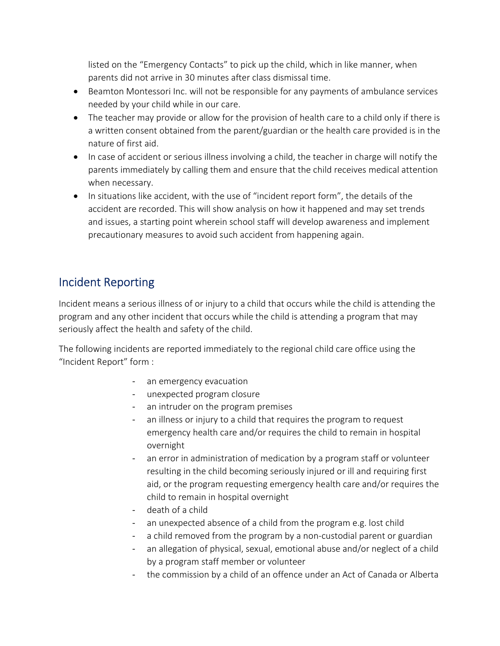listed on the "Emergency Contacts" to pick up the child, which in like manner, when parents did not arrive in 30 minutes after class dismissal time.

- Beamton Montessori Inc. will not be responsible for any payments of ambulance services needed by your child while in our care.
- The teacher may provide or allow for the provision of health care to a child only if there is a written consent obtained from the parent/guardian or the health care provided is in the nature of first aid.
- In case of accident or serious illness involving a child, the teacher in charge will notify the parents immediately by calling them and ensure that the child receives medical attention when necessary.
- In situations like accident, with the use of "incident report form", the details of the accident are recorded. This will show analysis on how it happened and may set trends and issues, a starting point wherein school staff will develop awareness and implement precautionary measures to avoid such accident from happening again.

# Incident Reporting

Incident means a serious illness of or injury to a child that occurs while the child is attending the program and any other incident that occurs while the child is attending a program that may seriously affect the health and safety of the child.

The following incidents are reported immediately to the regional child care office using the "Incident Report" form :

- an emergency evacuation
- unexpected program closure
- an intruder on the program premises
- an illness or injury to a child that requires the program to request emergency health care and/or requires the child to remain in hospital overnight
- an error in administration of medication by a program staff or volunteer resulting in the child becoming seriously injured or ill and requiring first aid, or the program requesting emergency health care and/or requires the child to remain in hospital overnight
- death of a child
- an unexpected absence of a child from the program e.g. lost child
- a child removed from the program by a non-custodial parent or guardian
- an allegation of physical, sexual, emotional abuse and/or neglect of a child by a program staff member or volunteer
- the commission by a child of an offence under an Act of Canada or Alberta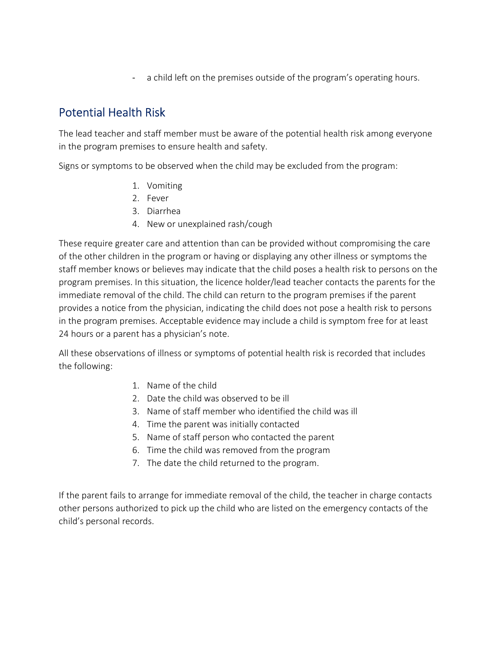a child left on the premises outside of the program's operating hours.

# Potential Health Risk

The lead teacher and staff member must be aware of the potential health risk among everyone in the program premises to ensure health and safety.

Signs or symptoms to be observed when the child may be excluded from the program:

- 1. Vomiting
- 2. Fever
- 3. Diarrhea
- 4. New or unexplained rash/cough

These require greater care and attention than can be provided without compromising the care of the other children in the program or having or displaying any other illness or symptoms the staff member knows or believes may indicate that the child poses a health risk to persons on the program premises. In this situation, the licence holder/lead teacher contacts the parents for the immediate removal of the child. The child can return to the program premises if the parent provides a notice from the physician, indicating the child does not pose a health risk to persons in the program premises. Acceptable evidence may include a child is symptom free for at least 24 hours or a parent has a physician's note.

All these observations of illness or symptoms of potential health risk is recorded that includes the following:

- 1. Name of the child
- 2. Date the child was observed to be ill
- 3. Name of staff member who identified the child was ill
- 4. Time the parent was initially contacted
- 5. Name of staff person who contacted the parent
- 6. Time the child was removed from the program
- 7. The date the child returned to the program.

If the parent fails to arrange for immediate removal of the child, the teacher in charge contacts other persons authorized to pick up the child who are listed on the emergency contacts of the child's personal records.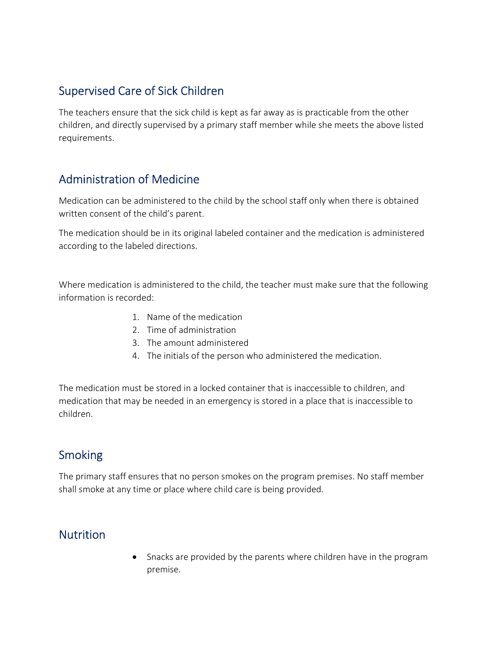## Supervised Care of Sick Children

The teachers ensure that the sick child is kept as far away as is practicable from the other children, and directly supervised by a primary staff member while she meets the above listed requirements.

### Administration of Medicine

Medication can be administered to the child by the school staff only when there is obtained written consent of the child's parent.

The medication should be in its original labeled container and the medication is administered according to the labeled directions.

Where medication is administered to the child, the teacher must make sure that the following information is recorded:

- 1. Name of the medication
- 2. Time of administration
- 3. The amount administered
- 4. The initials of the person who administered the medication.

The medication must be stored in a locked container that is inaccessible to children, and medication that may be needed in an emergency is stored in a place that is inaccessible to children.

# Smoking

The primary staff ensures that no person smokes on the program premises. No staff member shall smoke at any time or place where child care is being provided.

#### **Nutrition**

• Snacks are provided by the parents where children have in the program premise.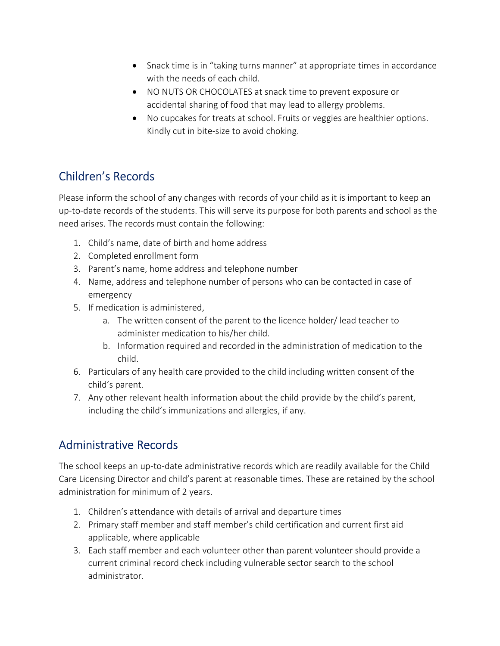- Snack time is in "taking turns manner" at appropriate times in accordance with the needs of each child.
- NO NUTS OR CHOCOLATES at snack time to prevent exposure or accidental sharing of food that may lead to allergy problems.
- No cupcakes for treats at school. Fruits or veggies are healthier options. Kindly cut in bite-size to avoid choking.

# Children's Records

Please inform the school of any changes with records of your child as it is important to keep an up-to-date records of the students. This will serve its purpose for both parents and school as the need arises. The records must contain the following:

- 1. Child's name, date of birth and home address
- 2. Completed enrollment form
- 3. Parent's name, home address and telephone number
- 4. Name, address and telephone number of persons who can be contacted in case of emergency
- 5. If medication is administered,
	- a. The written consent of the parent to the licence holder/ lead teacher to administer medication to his/her child.
	- b. Information required and recorded in the administration of medication to the child.
- 6. Particulars of any health care provided to the child including written consent of the child's parent.
- 7. Any other relevant health information about the child provide by the child's parent, including the child's immunizations and allergies, if any.

# Administrative Records

The school keeps an up-to-date administrative records which are readily available for the Child Care Licensing Director and child's parent at reasonable times. These are retained by the school administration for minimum of 2 years.

- 1. Children's attendance with details of arrival and departure times
- 2. Primary staff member and staff member's child certification and current first aid applicable, where applicable
- 3. Each staff member and each volunteer other than parent volunteer should provide a current criminal record check including vulnerable sector search to the school administrator.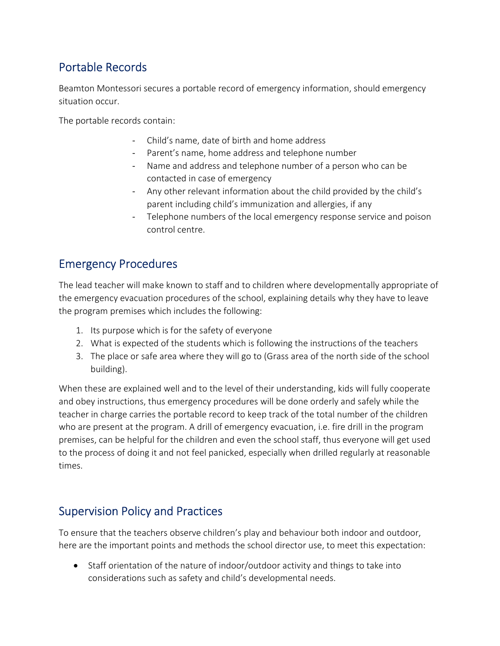# Portable Records

Beamton Montessori secures a portable record of emergency information, should emergency situation occur.

The portable records contain:

- Child's name, date of birth and home address
- Parent's name, home address and telephone number
- Name and address and telephone number of a person who can be contacted in case of emergency
- Any other relevant information about the child provided by the child's parent including child's immunization and allergies, if any
- Telephone numbers of the local emergency response service and poison control centre.

### Emergency Procedures

The lead teacher will make known to staff and to children where developmentally appropriate of the emergency evacuation procedures of the school, explaining details why they have to leave the program premises which includes the following:

- 1. Its purpose which is for the safety of everyone
- 2. What is expected of the students which is following the instructions of the teachers
- 3. The place or safe area where they will go to (Grass area of the north side of the school building).

When these are explained well and to the level of their understanding, kids will fully cooperate and obey instructions, thus emergency procedures will be done orderly and safely while the teacher in charge carries the portable record to keep track of the total number of the children who are present at the program. A drill of emergency evacuation, i.e. fire drill in the program premises, can be helpful for the children and even the school staff, thus everyone will get used to the process of doing it and not feel panicked, especially when drilled regularly at reasonable times.

# Supervision Policy and Practices

To ensure that the teachers observe children's play and behaviour both indoor and outdoor, here are the important points and methods the school director use, to meet this expectation:

• Staff orientation of the nature of indoor/outdoor activity and things to take into considerations such as safety and child's developmental needs.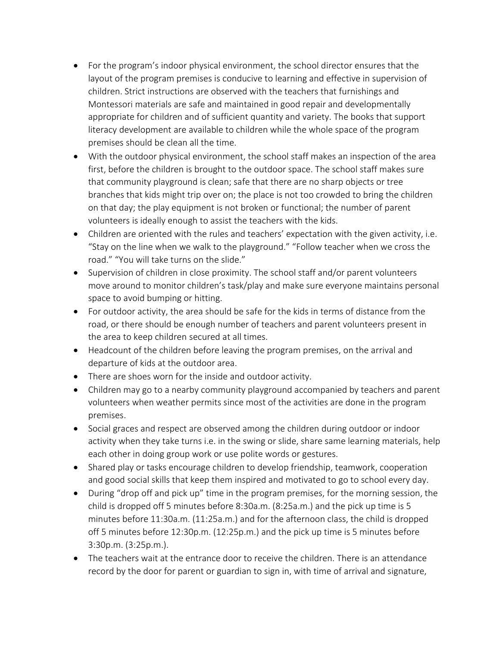- For the program's indoor physical environment, the school director ensures that the layout of the program premises is conducive to learning and effective in supervision of children. Strict instructions are observed with the teachers that furnishings and Montessori materials are safe and maintained in good repair and developmentally appropriate for children and of sufficient quantity and variety. The books that support literacy development are available to children while the whole space of the program premises should be clean all the time.
- With the outdoor physical environment, the school staff makes an inspection of the area first, before the children is brought to the outdoor space. The school staff makes sure that community playground is clean; safe that there are no sharp objects or tree branches that kids might trip over on; the place is not too crowded to bring the children on that day; the play equipment is not broken or functional; the number of parent volunteers is ideally enough to assist the teachers with the kids.
- Children are oriented with the rules and teachers' expectation with the given activity, i.e. "Stay on the line when we walk to the playground." "Follow teacher when we cross the road." "You will take turns on the slide."
- Supervision of children in close proximity. The school staff and/or parent volunteers move around to monitor children's task/play and make sure everyone maintains personal space to avoid bumping or hitting.
- For outdoor activity, the area should be safe for the kids in terms of distance from the road, or there should be enough number of teachers and parent volunteers present in the area to keep children secured at all times.
- Headcount of the children before leaving the program premises, on the arrival and departure of kids at the outdoor area.
- There are shoes worn for the inside and outdoor activity.
- Children may go to a nearby community playground accompanied by teachers and parent volunteers when weather permits since most of the activities are done in the program premises.
- Social graces and respect are observed among the children during outdoor or indoor activity when they take turns i.e. in the swing or slide, share same learning materials, help each other in doing group work or use polite words or gestures.
- Shared play or tasks encourage children to develop friendship, teamwork, cooperation and good social skills that keep them inspired and motivated to go to school every day.
- During "drop off and pick up" time in the program premises, for the morning session, the child is dropped off 5 minutes before 8:30a.m. (8:25a.m.) and the pick up time is 5 minutes before 11:30a.m. (11:25a.m.) and for the afternoon class, the child is dropped off 5 minutes before 12:30p.m. (12:25p.m.) and the pick up time is 5 minutes before 3:30p.m. (3:25p.m.).
- The teachers wait at the entrance door to receive the children. There is an attendance record by the door for parent or guardian to sign in, with time of arrival and signature,